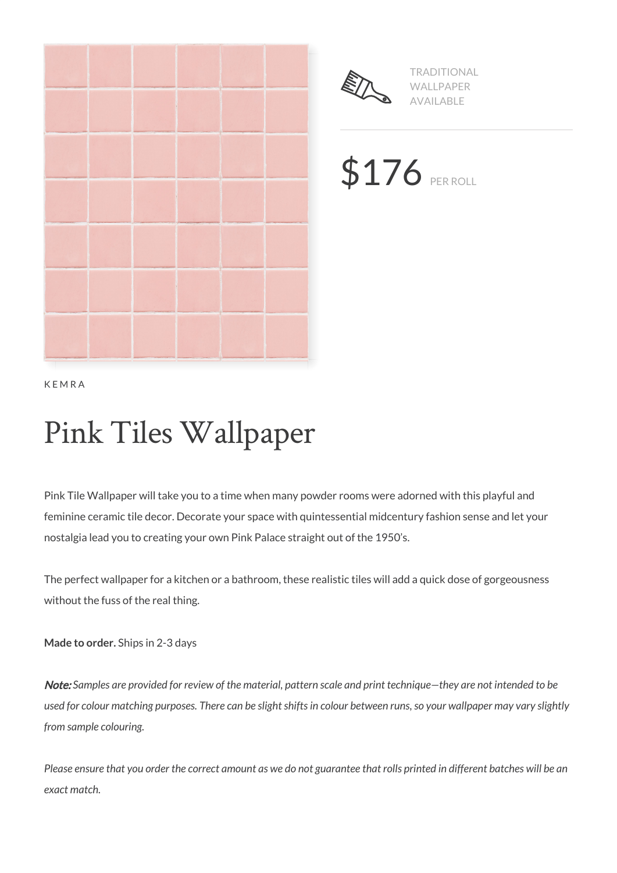



TRADITIONAL WALLPAPER AVAILABLE

\$176 PER ROLL

KEMRA

# Pink Tiles Wallpaper

Pink Tile Wallpaper will take you to a time when many powder rooms were adorned with this playful and feminine ceramic tile decor. Decorate your space with quintessential midcentury fashion sense and let your nostalgia lead you to creating your own Pink Palace straight out of the 1950's.

The perfect wallpaper for a kitchen or a bathroom, these realistic tiles will add a quick dose of gorgeousness without the fuss of the real thing.

**Made to order.** Ships in 2-3 days

Note: *Samples are provided for review of the material, pattern scale and print technique—they are not intended to be used for colour matching purposes. There can be slight shifts in colour between runs, so your wallpaper may vary slightly from sample colouring.*

*Please ensure that you order the correct amount as we do not guarantee that rolls printed in different batches will be an exact match.*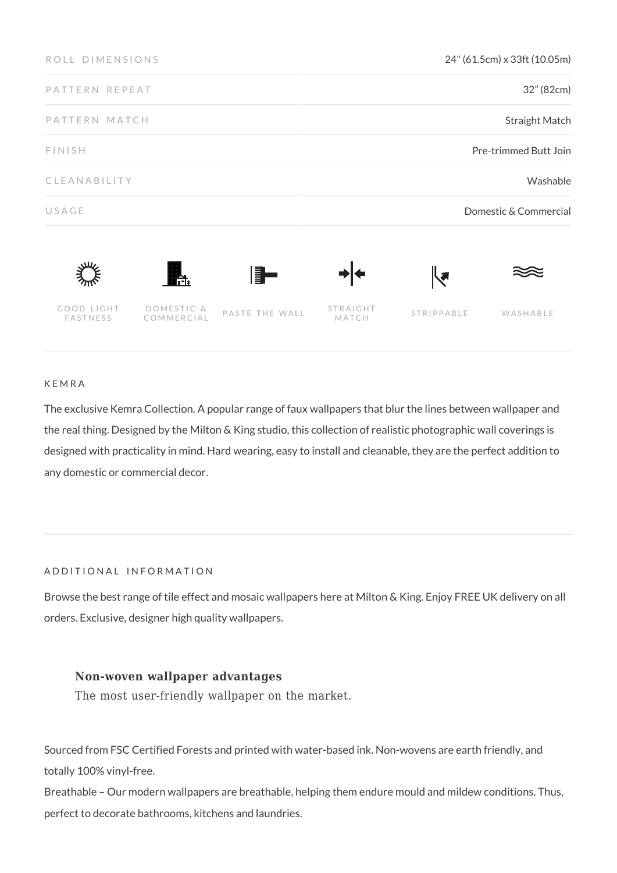| ROLL DIMENSIONS        |                          |                | 24" (61.5cm) x 33ft (10.05m) |            |                       |
|------------------------|--------------------------|----------------|------------------------------|------------|-----------------------|
| PATTERN REPEAT         |                          |                |                              |            | 32" (82cm)            |
| PATTERN MATCH          |                          |                | <b>Straight Match</b>        |            |                       |
| FINISH                 |                          |                | Pre-trimmed Butt Join        |            |                       |
| CLEANABILITY           |                          |                | Washable                     |            |                       |
| USAGE                  |                          |                |                              |            | Domestic & Commercial |
|                        | r.                       | H.             |                              | ┞┩         |                       |
| GOOD LIGHT<br>FASTNESS | DOMESTIC &<br>COMMERCIAL | PASTE THE WALL | STRAIGHT<br>MATCH            | STRIPPABLE | WASHABLE              |

#### KEMRA

The exclusive Kemra Collection. A popular range of faux wallpapers that blur the lines between wallpaper and the real thing. Designed by the Milton & King studio, this collection of realistic photographic wall coverings is designed with practicality in mind. Hard wearing, easy to install and cleanable, they are the perfect addition to any domestic or commercial decor.

# ADDITIONAL INFORMATION

Browse the best range of tile effect and mosaic wallpapers here at Milton & King. Enjoy FREE UK delivery on all orders. Exclusive, designer high quality wallpapers.

# **Non-woven wallpaper advantages**

The most user-friendly wallpaper on the market.

Sourced from FSC Certified Forests and printed with water-based ink. Non-wovens are earth friendly, and totally 100% vinyl-free.

Breathable – Our modern wallpapers are breathable, helping them endure mould and mildew conditions. Thus, perfect to decorate bathrooms, kitchens and laundries.